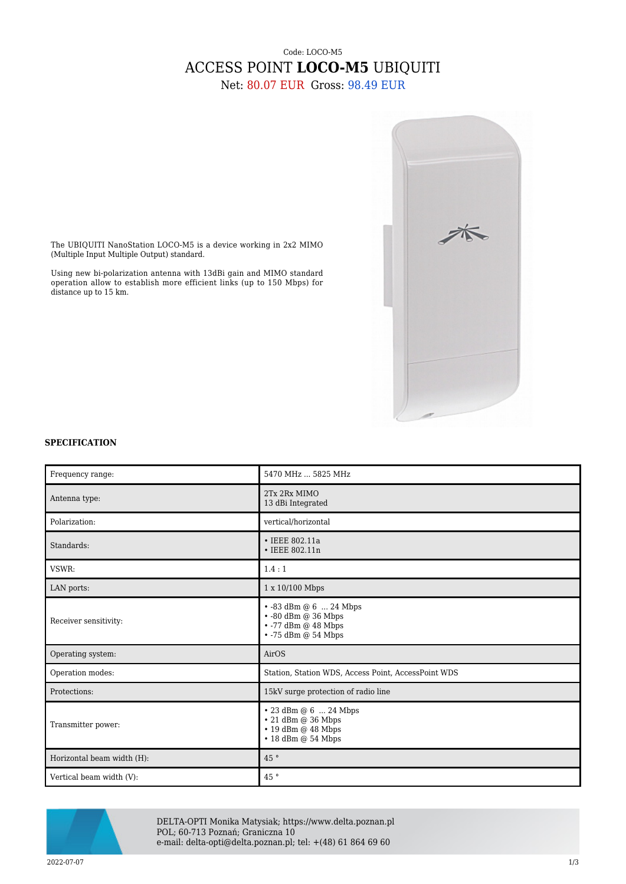## Code: LOCO-M5 ACCESS POINT **LOCO-M5** UBIQUITI

Net: 80.07 EUR Gross: 98.49 EUR



The UBIQUITI NanoStation LOCO-M5 is a device working in 2x2 MIMO (Multiple Input Multiple Output) standard.

Using new bi-polarization antenna with 13dBi gain and MIMO standard operation allow to establish more efficient links (up to 150 Mbps) for distance up to 15 km.

## **SPECIFICATION**

| Frequency range:           | 5470 MHz  5825 MHz                                                                                                  |
|----------------------------|---------------------------------------------------------------------------------------------------------------------|
| Antenna type:              | 2Tx 2Rx MIMO<br>13 dBi Integrated                                                                                   |
| Polarization:              | vertical/horizontal                                                                                                 |
| Standards:                 | • IEEE 802.11a<br>• IEEE 802.11n                                                                                    |
| VSWR:                      | 1.4:1                                                                                                               |
| LAN ports:                 | 1 x 10/100 Mbps                                                                                                     |
| Receiver sensitivity:      | $\cdot$ -83 dBm @ 6  24 Mbps<br>$\cdot$ -80 dBm @ 36 Mbps<br>$\cdot$ -77 dBm @ 48 Mbps<br>$\cdot$ -75 dBm @ 54 Mbps |
| Operating system:          | AirOS                                                                                                               |
| Operation modes:           | Station, Station WDS, Access Point, AccessPoint WDS                                                                 |
| Protections:               | 15kV surge protection of radio line                                                                                 |
| Transmitter power:         | $\cdot$ 23 dBm @ 6  24 Mbps<br>• 21 dBm @ 36 Mbps<br>$\cdot$ 19 dBm $@$ 48 Mbps<br>$\cdot$ 18 dBm $@$ 54 Mbps       |
| Horizontal beam width (H): | 45°                                                                                                                 |
| Vertical beam width (V):   | 45°                                                                                                                 |



DELTA-OPTI Monika Matysiak; https://www.delta.poznan.pl POL; 60-713 Poznań; Graniczna 10 e-mail: delta-opti@delta.poznan.pl; tel: +(48) 61 864 69 60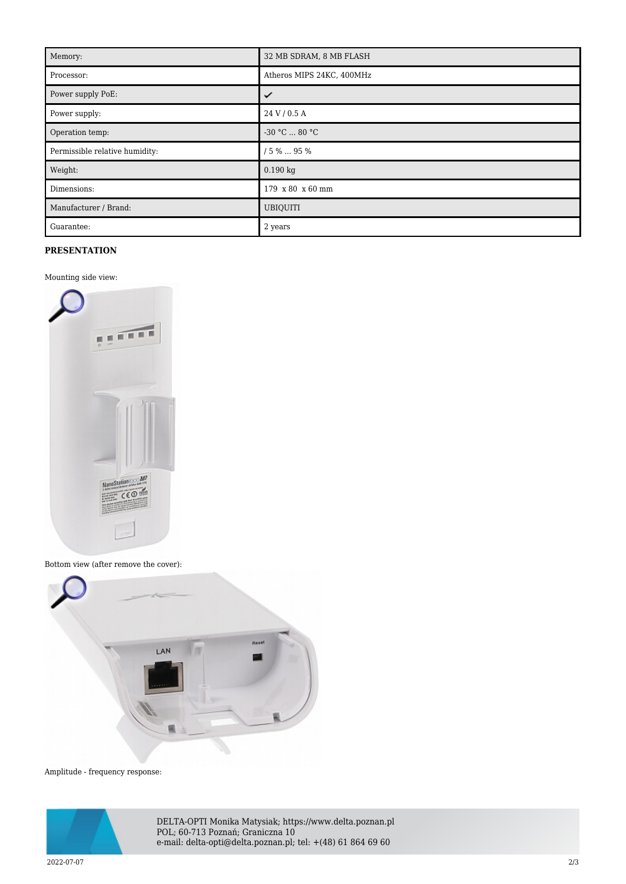| Memory:                        | 32 MB SDRAM, 8 MB FLASH   |
|--------------------------------|---------------------------|
| Processor:                     | Atheros MIPS 24KC, 400MHz |
| Power supply PoE:              | ✓                         |
| Power supply:                  | 24 V / 0.5 A              |
| Operation temp:                | $-30 °C  80 °C$           |
| Permissible relative humidity: | / 5 %  95 %               |
| Weight:                        | $0.190$ kg                |
| Dimensions:                    | 179 x 80 x 60 mm          |
| Manufacturer / Brand:          | <b>UBIQUITI</b>           |
| Guarantee:                     | 2 years                   |

## **PRESENTATION**

Mounting side view:



Bottom view (after remove the cover):



Amplitude - frequency response:



DELTA-OPTI Monika Matysiak; https://www.delta.poznan.pl POL; 60-713 Poznań; Graniczna 10 e-mail: delta-opti@delta.poznan.pl; tel: +(48) 61 864 69 60

2022-07-07 2/3